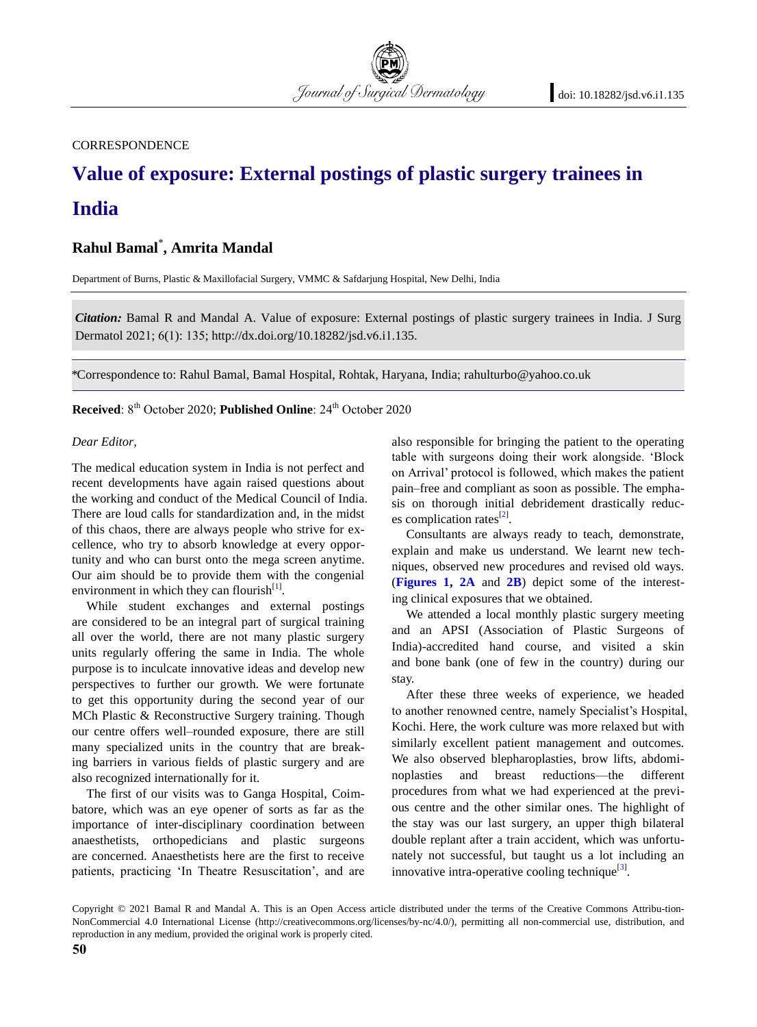**CORRESPONDENCE** 

# **Value of exposure: External postings of plastic surgery trainees in India**

Journal of Surgical Dermatology

## **Rahul Bamal**\* **, Amrita Mandal**

Department of Burns, Plastic & Maxillofacial Surgery, VMMC & Safdarjung Hospital, New Delhi, India

*Citation:* Bamal R and Mandal A. Value of exposure: External postings of plastic surgery trainees in India. J Surg Dermatol 2021; 6(1): 135; http://dx.doi.org/10.18282/jsd.v6.i1.135.

\*Correspondence to: Rahul Bamal, Bamal Hospital, Rohtak, Haryana, India; rahulturbo@yahoo.co.uk

**Received**: 8<sup>th</sup> October 2020; **Published Online**: 24<sup>th</sup> October 2020

#### *Dear Editor,*

The medical education system in India is not perfect and recent developments have again raised questions about the working and conduct of the Medical Council of India. There are loud calls for standardization and, in the midst of this chaos, there are always people who strive for excellence, who try to absorb knowledge at every opportunity and who can burst onto the mega screen anytime. Our aim should be to provide them with the congenial environment in which they can flourish $^{[1]}$  $^{[1]}$  $^{[1]}$ .

While student exchanges and external postings are considered to be an integral part of surgical training all over the world, there are not many plastic surgery units regularly offering the same in India. The whole purpose is to inculcate innovative ideas and develop new perspectives to further our growth. We were fortunate to get this opportunity during the second year of our MCh Plastic & Reconstructive Surgery training. Though our centre offers well–rounded exposure, there are still many specialized units in the country that are breaking barriers in various fields of plastic surgery and are also recognized internationally for it.

The first of our visits was to Ganga Hospital, Coimbatore, which was an eye opener of sorts as far as the importance of inter-disciplinary coordination between anaesthetists, orthopedicians and plastic surgeons are concerned. Anaesthetists here are the first to receive patients, practicing 'In Theatre Resuscitation', and are also responsible for bringing the patient to the operating table with surgeons doing their work alongside. 'Block on Arrival' protocol is followed, which makes the patient pain–free and compliant as soon as possible. The emphasis on thorough initial debridement drastically reduc-es complication rates<sup>[\[2\]](#page-1-1)</sup>.

Consultants are always ready to teach, demonstrate, explain and make us understand. We learnt new techniques, observed new procedures and revised old ways. (**[Figures 1,](#page-1-2) 2A** and **[2B](#page-1-3)**) depict some of the interesting clinical exposures that we obtained.

We attended a local monthly plastic surgery meeting and an APSI (Association of Plastic Surgeons of India)-accredited hand course, and visited a skin and bone bank (one of few in the country) during our stay.

After these three weeks of experience, we headed to another renowned centre, namely Specialist's Hospital, Kochi. Here, the work culture was more relaxed but with similarly excellent patient management and outcomes. We also observed blepharoplasties, brow lifts, abdominoplasties and breast reductions—the different procedures from what we had experienced at the previous centre and the other similar ones. The highlight of the stay was our last surgery, an upper thigh bilateral double replant after a train accident, which was unfortunately not successful, but taught us a lot including an innovative intra-operative cooling technique $^{[3]}$  $^{[3]}$  $^{[3]}$ .

Copyright © 2021 Bamal R and Mandal A. This is an Open Access article distributed under the terms of the Creative Commons Attribu-tion-NonCommercial 4.0 International License (http://creativecommons.org/licenses/by-nc/4.0/), permitting all non-commercial use, distribution, and reproduction in any medium, provided the original work is properly cited.